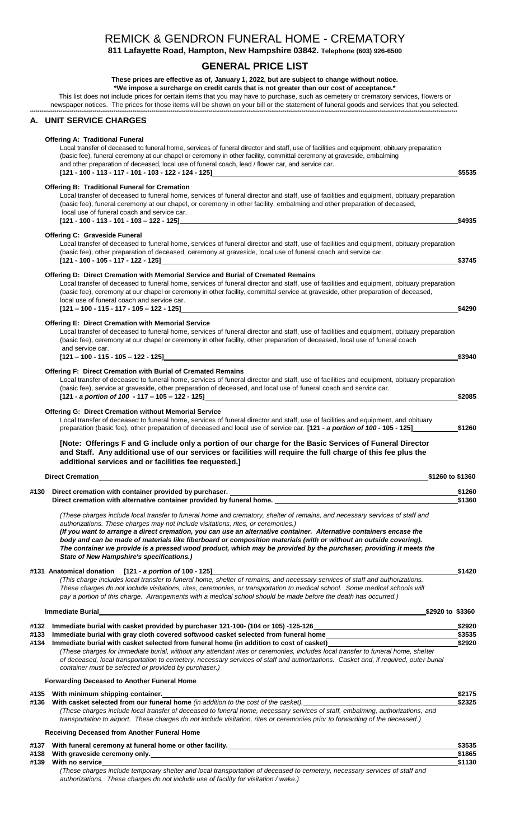# REMICK & GENDRON FUNERAL HOME - CREMATORY

811 Lafayette Road, Hampton, New Hampshire 03842. Telephone (603) 926-6500

## **GENERAL PRICE LIST**

These prices are effective as of, January 1, 2022, but are subject to change without notice. \*We impose a surcharge on credit cards that is not greater than our cost of acceptance.\*

This list does not include prices for certain items that you may have to purchase, such as cemetery or crematory services, flowers or

newspaper notices. The prices for those items will be shown on your bill or the statement of funeral goods and services that you selected.

#### **UNIT SERVICE CHARGES** А.

### **Offering A: Traditional Funeral**

Local transfer of deceased to funeral home, services of funeral director and staff, use of facilities and equipment, obituary preparation (basic fee), funeral ceremony at our chapel or ceremony in other facility, committal ceremony at graveside, embalming and other preparation of deceased, local use of funeral coach, lead / flower car, and service car. [121 - 100 - 113 - 117 - 101 - 103 - 122 - 124 - 125] \$5535

#### **Offering B: Traditional Funeral for Cremation** Local transfer of deceased to funeral home, services of funeral director and staff, use of facilities and equipment, obituary preparation (basic fee), funeral ceremony at our chapel, or ceremony in other facility, embalming and other preparation of deceased, local use of funeral coach and service car.

 $[121 - 100 - 113 - 101 - 103 - 122 - 125]$ \$4935 **Offering C: Graveside Funeral** Local transfer of deceased to funeral home, services of funeral director and staff, use of facilities and equipment, obituary preparation (basic fee), other preparation of deceased, ceremony at graveside, local use of funeral coach and service car. [121 - 100 - 105 - 117 - 122 - 125] \$3745

### Offering D: Direct Cremation with Memorial Service and Burial of Cremated Remains

Local transfer of deceased to funeral home, services of funeral director and staff, use of facilities and equipment, obituary preparation (basic fee), ceremony at our chapel or ceremony in other facility, committal service at graveside, other preparation of deceased, local use of funeral coach and service car.  $[121 - 100 - 115 - 117 - 105 - 122 - 125]$ \$4290

### **Offering E: Direct Cremation with Memorial Service**

Local transfer of deceased to funeral home, services of funeral director and staff, use of facilities and equipment, obituary preparation (basic fee), ceremony at our chapel or ceremony in other facility, other preparation of deceased, local use of funeral coach and service car.

\$3940

\$1260 to \$1360

\$1130

 $[121 - 100 - 115 - 105 - 122 - 125]$ 

#### Offering F: Direct Cremation with Burial of Cremated Remains

Local transfer of deceased to funeral home, services of funeral director and staff, use of facilities and equipment, obituary preparation (basic fee), service at graveside, other preparation of deceased, and local use of funeral coach and service car.  $[121 - a$  portion of  $100 - 117 - 105 - 122 - 125]$ \$2085

### **Offering G: Direct Cremation without Memorial Service**

Local transfer of deceased to funeral home, services of funeral director and staff, use of facilities and equipment, and obituary preparation (basic fee), other preparation of deceased and local use of service car. [121 - a portion of 100 - 105 - 125] \$1260

[Note: Offerings F and G include only a portion of our charge for the Basic Services of Funeral Director and Staff. Any additional use of our services or facilities will require the full charge of this fee plus the additional services and or facilities fee requested.]

#### **Direct Cremation**

#139

| #130 | Direct cremation with container provided by purchaser.                                                                               | \$1260 |
|------|--------------------------------------------------------------------------------------------------------------------------------------|--------|
|      | Direct cremation with alternative container provided by funeral home.                                                                | \$1360 |
|      | (These charges include local transfer to funeral home and crematory, shelter of remains, and necessary services of staff and         |        |
|      | authorizations. These charges may not include visitations, rites, or ceremonies.)                                                    |        |
|      | (If you want to arrange a direct cremation, you can use an alternative container. Alternative containers encase the                  |        |
|      | body and can be made of materials like fiberboard or composition materials (with or without an outside covering).                    |        |
|      | The container we provide is a pressed wood product, which may be provided by the purchaser, providing it meets the                   |        |
|      | State of New Hampshire's specifications.)                                                                                            |        |
|      | #131 Anatomical donation [121 - a portion of 100 - 125]                                                                              | \$1420 |
|      | (This charge includes local transfer to funeral home, shelter of remains, and necessary services of staff and authorizations.        |        |
|      | These charges do not include visitations, rites, ceremonies, or transportation to medical school. Some medical schools will          |        |
|      | pay a portion of this charge. Arrangements with a medical school should be made before the death has occurred.)                      |        |
|      | <b>Immediate Burial</b><br>\$2920 to \$3360                                                                                          |        |
| #132 | Immediate burial with casket provided by purchaser 121-100- (104 or 105) -125-126                                                    | \$2920 |
| #133 | Immediate burial with gray cloth covered softwood casket selected from funeral home                                                  | \$3535 |
| #134 | Immediate burial with casket selected from funeral home (in addition to cost of casket)                                              | \$2920 |
|      | (These charges for immediate burial, without any attendant rites or ceremonies, includes local transfer to funeral home, shelter     |        |
|      | of deceased, local transportation to cemetery, necessary services of staff and authorizations. Casket and, if required, outer burial |        |

container must be selected or provided by purchaser I

## **Forwarding Deceased to Another Funeral Home**

|      | #135 With minimum shipping container.                                                                                                                                                                                                                           | \$2175 |
|------|-----------------------------------------------------------------------------------------------------------------------------------------------------------------------------------------------------------------------------------------------------------------|--------|
| #136 | With casket selected from our funeral home (in addition to the cost of the casket).                                                                                                                                                                             | \$2325 |
|      | (These charges include local transfer of deceased to funeral home, necessary services of staff, embalming, authorizations, and<br>transportation to airport. These charges do not include visitation, rites or ceremonies prior to forwarding of the deceased.) |        |
|      | Receiving Deceased from Another Funeral Home                                                                                                                                                                                                                    |        |
| #137 | With funeral ceremony at funeral home or other facility.                                                                                                                                                                                                        | \$3535 |
| #138 | With graveside ceremony only.                                                                                                                                                                                                                                   | \$1865 |

With no service (These charges include temporary shelter and local transportation of deceased to cemetery, necessary services of staff and authorizations. These charges do not include use of facility for visitation / wake.)